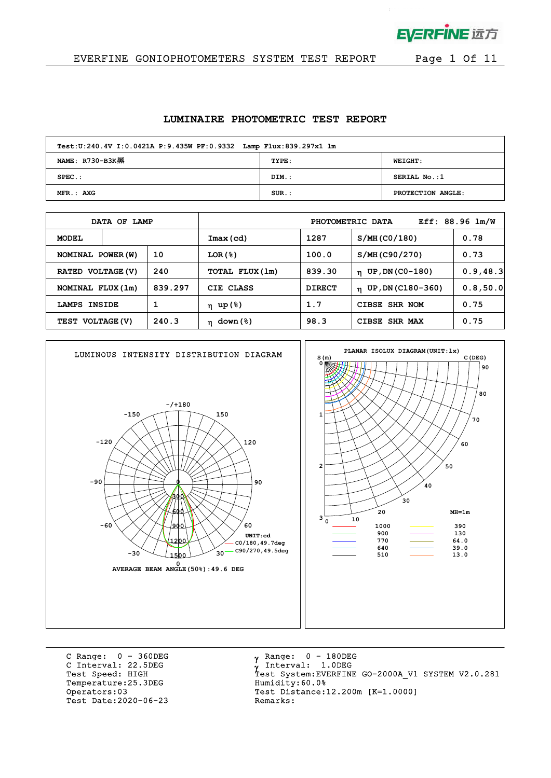

 $\mathcal{L}$ 

### EVERFINE GONIOPHOTOMETERS SYSTEM TEST REPORT Page 1 Of 11

#### **LUMINAIRE PHOTOMETRIC TEST REPORT**

| Test: U:240.4V I: 0.0421A P: 9.435W PF: 0.9332 Lamp Flux: 839.297x1 lm |          |                   |  |  |  |  |  |  |  |
|------------------------------------------------------------------------|----------|-------------------|--|--|--|--|--|--|--|
| NAME: R730-B3K黑                                                        | TYPE:    | <b>WEIGHT:</b>    |  |  |  |  |  |  |  |
| $SPEC.$ :                                                              | DIM.:    | SERIAL No.:1      |  |  |  |  |  |  |  |
| MFR.: AXG                                                              | $SUR.$ : | PROTECTION ANGLE: |  |  |  |  |  |  |  |

| DATA OF LAMP      |        |         |                         |               | PHOTOMETRIC DATA               | $Eff: 88.96$ $lm/W$ |
|-------------------|--------|---------|-------------------------|---------------|--------------------------------|---------------------|
| <b>MODEL</b>      |        |         | Imax(cd)                | 1287          | S/MH (CO/180)                  | 0.78                |
| NOMINAL POWER (W) |        | 10      | LOR(8)                  | 100.0         | S/MH (C90/270)                 | 0.73                |
| RATED VOLTAGE (V) |        | 240     | TOTAL FLUX(1m)          | 839.30        | UP, DN (C0-180)<br>$\mathbf n$ | 0.9, 48.3           |
| NOMINAL FLUX (1m) |        | 839.297 | CIE CLASS               | <b>DIRECT</b> | $n$ UP, DN (C180-360)          | 0.8, 50.0           |
| LAMPS             | INSIDE |         | η up(%)                 | 1.7           | <b>CIBSE</b><br>SHR NOM        | 0.75                |
| TEST VOLTAGE (V)  |        | 240.3   | down (%)<br>$\mathbf n$ | 98.3          | <b>SHR MAX</b><br><b>CIBSE</b> | 0.75                |



C Range: 0 - 360DEG C Interval: 22.5DEG<br>Test Speed: HIGH Temperature:25.3DEG Humidity:60.0%<br>Operators:03 Test Distance: Test Date: 2020-06-23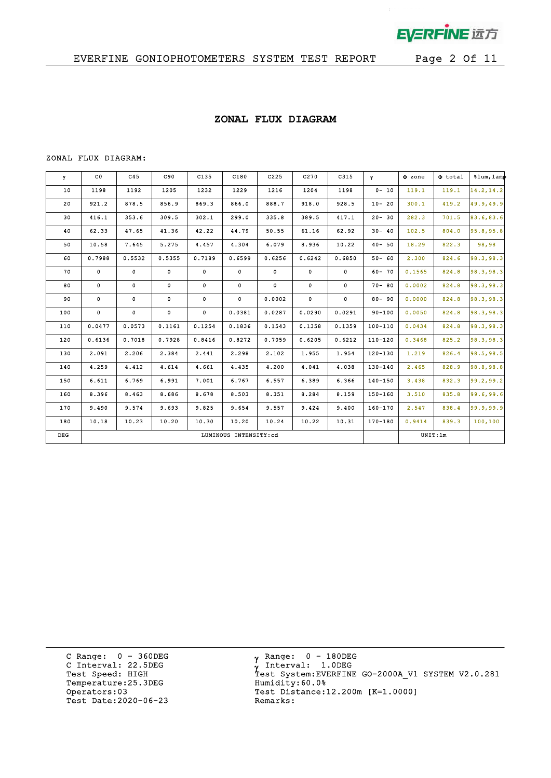

 $\mathbf{r}^{(1)}$ 

### **ZONAL FLUX DIAGRAM**

#### ZONAL FLUX DIAGRAM:

| Y     | $_{\rm CO}$ | C45         | C90    | C135         | C180                  | C225   | C270         | C315         | $\mathbf{Y}$ | $\Phi$ zone | $\Phi$ total | %lum, lamp |
|-------|-------------|-------------|--------|--------------|-----------------------|--------|--------------|--------------|--------------|-------------|--------------|------------|
| 10    | 1198        | 1192        | 1205   | 1232         | 1229                  | 1216   | 1204         | 1198         | $0 - 10$     | 119.1       | 119.1        | 14.2, 14.2 |
| 20    | 921.2       | 878.5       | 856.9  | 869.3        | 866.0                 | 888.7  | 918.0        | 928.5        | $10 - 20$    | 300.1       | 419.2        | 49.9,49.9  |
| 30    | 416.1       | 353.6       | 309.5  | 302.1        | 299.0                 | 335.8  | 389.5        | 417.1        | $20 - 30$    | 282.3       | 701.5        | 83.6, 83.6 |
| 40    | 62.33       | 47.65       | 41.36  | 42.22        | 44.79                 | 50.55  | 61.16        | 62.92        | $30 - 40$    | 102.5       | 804.0        | 95.8,95.8  |
| 50    | 10.58       | 7.645       | 5.275  | 4.457        | 4.304                 | 6.079  | 8.936        | 10.22        | $40 - 50$    | 18.29       | 822.3        | 98,98      |
| 60    | 0.7988      | 0.5532      | 0.5355 | 0.7189       | 0.6599                | 0.6256 | 0.6242       | 0.6850       | $50 - 60$    | 2.300       | 824.6        | 98.3, 98.3 |
| 70    | $\mathbf 0$ | $\mathbf 0$ | 0      | $\mathbf{0}$ | 0                     | 0      | $\mathbf 0$  | $\mathbf{0}$ | $60 - 70$    | 0.1565      | 824.8        | 98.3, 98.3 |
| 80    | 0           | 0           | 0      | 0            | 0                     | 0      | 0            | 0            | $70 - 80$    | 0.0002      | 824.8        | 98.3, 98.3 |
| 90    | 0           | 0           | 0      | 0            | $\mathbf 0$           | 0.0002 | $\mathbf{0}$ | $\mathbf{0}$ | $80 - 90$    | 0.0000      | 824.8        | 98.3, 98.3 |
| 100   | $\mathbf 0$ | 0           | 0      | $\mathbf 0$  | 0.0381                | 0.0287 | 0.0290       | 0.0291       | $90 - 100$   | 0.0050      | 824.8        | 98.3,98.3  |
| 110   | 0.0477      | 0.0573      | 0.1161 | 0.1254       | 0.1836                | 0.1543 | 0.1358       | 0.1359       | $100 - 110$  | 0.0434      | 824.8        | 98.3,98.3  |
| 120   | 0.6136      | 0.7018      | 0.7928 | 0.8416       | 0.8272                | 0.7059 | 0.6205       | 0.6212       | $110 - 120$  | 0.3468      | 825.2        | 98.3,98.3  |
| 130   | 2.091       | 2.206       | 2.384  | 2.441        | 2.298                 | 2.102  | 1.955        | 1.954        | $120 - 130$  | 1.219       | 826.4        | 98.5, 98.5 |
| 140   | 4.259       | 4.412       | 4.614  | 4.661        | 4.435                 | 4.200  | 4.041        | 4.038        | $130 - 140$  | 2.465       | 828.9        | 98.8,98.8  |
| 150   | 6.611       | 6.769       | 6.991  | 7.001        | 6.767                 | 6.557  | 6.389        | 6.366        | $140 - 150$  | 3.438       | 832.3        | 99.2,99.2  |
| 160   | 8.396       | 8.463       | 8.686  | 8.678        | 8.503                 | 8.351  | 8.284        | 8.159        | 150-160      | 3.510       | 835.8        | 99.6,99.6  |
| 170   | 9.490       | 9.574       | 9.693  | 9.825        | 9.654                 | 9.557  | 9.424        | 9.400        | $160 - 170$  | 2.547       | 838.4        | 99.9,99.9  |
| 180   | 10.18       | 10.23       | 10.20  | 10.30        | 10.20                 | 10.24  | 10.22        | 10.31        | 170-180      | 0.9414      | 839.3        | 100,100    |
| $DEG$ |             |             |        |              | LUMINOUS INTENSITY:cd |        |              |              |              |             | UNIT: 1m     |            |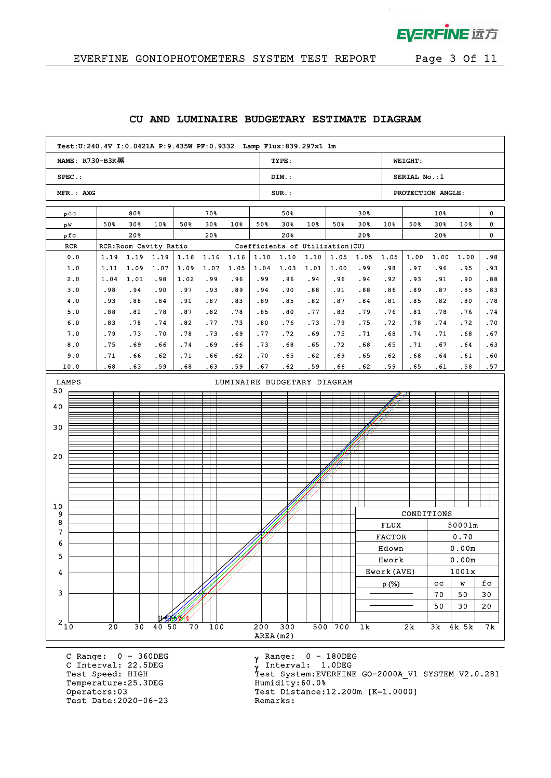

 $\mathbf{p}^{\mathrm{max}}$ 

| NAME: R730-B3K黑 |            |                        |                 |            |            |            |            | TYPE:      |            |                                  |            |               | <b>WEIGHT:</b> |             |                                                                                                                                                                                                                                                                                                  |        |  |  |
|-----------------|------------|------------------------|-----------------|------------|------------|------------|------------|------------|------------|----------------------------------|------------|---------------|----------------|-------------|--------------------------------------------------------------------------------------------------------------------------------------------------------------------------------------------------------------------------------------------------------------------------------------------------|--------|--|--|
| $SPEC.$ :       |            |                        |                 |            |            |            |            | DIM.:      |            |                                  |            |               | SERIAL No.:1   |             | PROTECTION ANGLE:<br>0<br>$10*$<br>30%<br>10%<br>0<br>20%<br>0<br>1.00<br>.98<br>.96<br>.95<br>.93<br>. 91<br>.90<br>.88<br>.87<br>.85<br>.83<br>.78<br>.82<br>.80<br>.74<br>.78<br>.76<br>.74<br>.70<br>.72<br>.71<br>.67<br>.68<br>.67<br>.64<br>.63<br>.64<br>.61<br>.60<br>.61<br>.58<br>.57 |        |  |  |
| MFR.: AXG       |            |                        |                 |            |            |            |            | $SUR.$ :   |            |                                  |            |               |                |             |                                                                                                                                                                                                                                                                                                  |        |  |  |
| $\rho$ CC       |            | 80%                    |                 |            | 70%        |            |            | 50%        |            |                                  | $30*$      |               |                |             |                                                                                                                                                                                                                                                                                                  |        |  |  |
| ρW              | 50%        | 30%                    | 10 <sub>8</sub> | 50%        | 30%        | 10%        | 50%        | 30%        | 10%        | 50%                              | 30%        | 10%           | 50%            |             |                                                                                                                                                                                                                                                                                                  |        |  |  |
| ρfc             |            | 20%                    |                 |            | 20%        |            |            | 20%        |            |                                  | 20%        |               |                |             |                                                                                                                                                                                                                                                                                                  |        |  |  |
| RCR             |            | RCR: Room Cavity Ratio |                 |            |            |            |            |            |            | Coefficients of Utilization (CU) |            |               |                |             |                                                                                                                                                                                                                                                                                                  |        |  |  |
| 0.0             | 1.19       | 1.19                   | 1.19            | 1.16       | 1.16       | 1.16       | 1.10       | 1.10       | 1.10       | 1.05                             | 1.05       | 1.05          | 1.00           | 1.00        |                                                                                                                                                                                                                                                                                                  |        |  |  |
| 1.0             | 1.11       | 1.09                   | 1.07            | 1.09       | 1.07       | 1.05       | 1.04       | 1.03       | 1.01       | 1.00                             | .99        | .98           | .97            |             |                                                                                                                                                                                                                                                                                                  |        |  |  |
| 2.0             | 1.04       | 1.01                   | .98             | 1.02       | .99        | .96        | .99        | .96        | .94        | .96                              | .94        | .92           | .93            |             |                                                                                                                                                                                                                                                                                                  |        |  |  |
| 3.0             | .98        | .94                    | .90             | .97        | .93        | .89        | .94        | .90        | .88        | .91                              | .88        | .86           | .89            |             |                                                                                                                                                                                                                                                                                                  |        |  |  |
| 4.0<br>5.0      | .93<br>.88 | .88<br>.82             | .84<br>.78      | .91<br>.87 | .87<br>.82 | .83<br>.78 | .89<br>.85 | .85<br>.80 | .82<br>.77 | .87<br>.83                       | .84<br>.79 | .81<br>.76    | .85<br>.81     |             |                                                                                                                                                                                                                                                                                                  |        |  |  |
| 6.0             | .83        | .78                    | .74             | .82        | .77        | .73        | .80        | .76        | .73        | .79                              | .75        | .72           | .78            |             |                                                                                                                                                                                                                                                                                                  |        |  |  |
| 7.0             | .79        | .73                    | .70             | .78        | .73        | .69        | .77        | .72        | .69        | .75                              | .71        | .68           | .74            |             |                                                                                                                                                                                                                                                                                                  |        |  |  |
| 8.0             | .75        | .69                    | .66             | .74        | .69        | .66        | .73        | .68        | .65        | .72                              | .68        | .65           | .71            |             |                                                                                                                                                                                                                                                                                                  |        |  |  |
| 9.0             | .71        | .66                    | .62             | .71        | .66        | .62        | .70        | .65        | .62        | .69                              | .65        | .62           | .68            |             |                                                                                                                                                                                                                                                                                                  |        |  |  |
| 10.0            | .68        | .63                    | .59             | .68        | .63        | .59        | .67        | .62        | .59        | .66                              | .62        | .59           | .65            |             |                                                                                                                                                                                                                                                                                                  |        |  |  |
| LAMPS           |            |                        |                 |            |            |            |            |            |            | LUMINAIRE BUDGETARY DIAGRAM      |            |               |                |             |                                                                                                                                                                                                                                                                                                  |        |  |  |
| 50              |            |                        |                 |            |            |            |            |            |            |                                  |            |               |                |             |                                                                                                                                                                                                                                                                                                  |        |  |  |
| 40              |            |                        |                 |            |            |            |            |            |            |                                  |            |               |                |             |                                                                                                                                                                                                                                                                                                  |        |  |  |
|                 |            |                        |                 |            |            |            |            |            |            |                                  |            |               |                |             |                                                                                                                                                                                                                                                                                                  |        |  |  |
| 30              |            |                        |                 |            |            |            |            |            |            |                                  |            |               |                |             |                                                                                                                                                                                                                                                                                                  |        |  |  |
|                 |            |                        |                 |            |            |            |            |            |            |                                  |            |               |                |             |                                                                                                                                                                                                                                                                                                  |        |  |  |
| 20              |            |                        |                 |            |            |            |            |            |            |                                  |            |               |                |             |                                                                                                                                                                                                                                                                                                  |        |  |  |
|                 |            |                        |                 |            |            |            |            |            |            |                                  |            |               |                |             |                                                                                                                                                                                                                                                                                                  |        |  |  |
|                 |            |                        |                 |            |            |            |            |            |            |                                  |            |               |                |             |                                                                                                                                                                                                                                                                                                  |        |  |  |
|                 |            |                        |                 |            |            |            |            |            |            |                                  |            |               |                |             |                                                                                                                                                                                                                                                                                                  |        |  |  |
| 10              |            |                        |                 |            |            |            |            |            |            |                                  |            |               |                |             |                                                                                                                                                                                                                                                                                                  |        |  |  |
| 9               |            |                        |                 |            |            |            |            |            |            |                                  |            |               | CONDITIONS     |             |                                                                                                                                                                                                                                                                                                  |        |  |  |
| 8               |            |                        |                 |            |            |            |            |            |            |                                  |            | <b>FLUX</b>   |                |             | 50001m                                                                                                                                                                                                                                                                                           |        |  |  |
| 7               |            |                        |                 |            |            |            |            |            |            |                                  |            | <b>FACTOR</b> |                |             | 0.70                                                                                                                                                                                                                                                                                             |        |  |  |
| 6               |            |                        |                 |            |            |            |            |            |            |                                  |            | Hdown         |                |             | 0.00m                                                                                                                                                                                                                                                                                            |        |  |  |
| 5               |            |                        |                 |            |            |            |            |            |            |                                  |            | Hwork         |                |             | 0.00m                                                                                                                                                                                                                                                                                            |        |  |  |
| 4               |            |                        |                 |            |            |            |            |            |            |                                  |            | Ework (AVE)   |                |             | 1001x                                                                                                                                                                                                                                                                                            |        |  |  |
|                 |            |                        |                 |            |            |            |            |            |            |                                  |            | $\rho$ (%)    |                | $_{\rm cc}$ | W                                                                                                                                                                                                                                                                                                | fc     |  |  |
| 3               |            |                        |                 |            |            |            |            |            |            |                                  |            |               |                | 70          | 50                                                                                                                                                                                                                                                                                               | $30\,$ |  |  |
|                 |            |                        |                 |            |            |            |            |            |            |                                  |            |               |                | 50          | 30                                                                                                                                                                                                                                                                                               | 20     |  |  |
| $2\frac{1}{10}$ |            |                        |                 |            |            |            |            |            |            |                                  |            |               |                |             |                                                                                                                                                                                                                                                                                                  |        |  |  |

#### **CU AND LUMINAIRE BUDGETARY ESTIMATE DIAGRAM**

C Range: 0 - 360DEG C Interval: 22.5DEG<br>Test Speed: HIGH Temperature:25.3DEG Humidity:60.0%<br>Operators:03 Test Distance: Test Date: 2020-06-23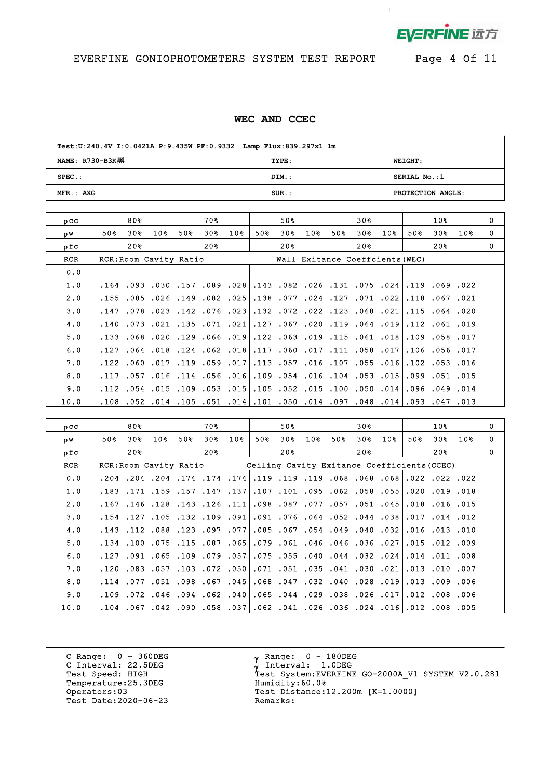

 $\mathcal{L}$ 

# EVERFINE GONIOPHOTOMETERS SYSTEM TEST REPORT Page 4 Of 11

### **WEC AND CCEC**

| Test: U:240.4V I: 0.0421A P: 9.435W PF: 0.9332 Lamp Flux: 839.297x1 lm |       |                   |  |  |  |  |  |  |  |
|------------------------------------------------------------------------|-------|-------------------|--|--|--|--|--|--|--|
| NAME: $R730-B3K$                                                       | TYPE: | <b>WEIGHT:</b>    |  |  |  |  |  |  |  |
| $SPEC.$ :                                                              | DIM.: | SERIAL No.:1      |  |  |  |  |  |  |  |
| MFR.: AXG                                                              | SUB.: | PROTECTION ANGLE: |  |  |  |  |  |  |  |

| $_{0}$ $_{\rm CC}$ |      | 80% |                        |     | 70 %                         |                 |     | 50% |                                 |     | 30% |                      |     | 10%                  |        | $\Omega$ |
|--------------------|------|-----|------------------------|-----|------------------------------|-----------------|-----|-----|---------------------------------|-----|-----|----------------------|-----|----------------------|--------|----------|
| ρW                 | 50%  | 30% | $10\%$                 | 50% | 30 <sub>8</sub>              | 10 <sub>8</sub> | 50% | 30% | 10 <sub>8</sub>                 | 50% | 30% | 10%                  | 50% | 30%                  | $10\%$ | 0        |
| ρfc                |      | 20% |                        |     | 20%                          |                 |     | 20% |                                 |     | 20% |                      |     | 20%                  |        | $\Omega$ |
| RCR                |      |     | RCR: Room Cavity Ratio |     |                              |                 |     |     | Wall Exitance Coeffcients (WEC) |     |     |                      |     |                      |        |          |
| 0.0                |      |     |                        |     |                              |                 |     |     |                                 |     |     |                      |     |                      |        |          |
| 1.0                |      |     |                        |     | .164 .093 .030157 .089 .028. |                 |     |     | .143.082.026.131.075.024        |     |     |                      |     | .119.069.022         |        |          |
| 2.0                | .155 |     |                        |     | 025. 026. 149. 085. 085.     |                 |     |     | $.138$ .077 .024                |     |     | .127 .071 .022       |     | $.118$ .067 .021     |        |          |
| 3.0                | .147 |     |                        |     | 023. 076. 142. 078. 078. .   |                 |     |     | .132.072.022.123.068.021.       |     |     |                      |     | .115.064.020         |        |          |
| 4.0                | .140 |     | $.073$ .021            |     | $.135$ $.071$ $.021$         |                 |     |     | $.127$ .067.020                 |     |     | .119 .064 .019       |     | .112.061.019         |        |          |
| 5.0                |      |     |                        |     | .133.068.020.129.066.019     |                 |     |     | .122.063.019.115.061.018.       |     |     |                      |     | $.109$ $.058$ $.017$ |        |          |
| 6.0                | .127 |     | ا018. 064.             |     | $.124$ $.062$ $.018$         |                 |     |     | $.117$ .060 .017                |     |     | $.111$ $.058$ $.017$ |     | $.106$ $.056$ $.017$ |        |          |
| 7.0                |      |     |                        |     | .122.060.111.119.059.122.    |                 |     |     | .113.057.107.107.055.113.       |     |     |                      |     | .102.053.016         |        |          |
| 8.0                | .117 |     | .057 .016              |     | $.114$ $.056$ $.016$         |                 |     |     | $.109$ $.054$ $.016$            |     |     | $.104$ $.053$ $.015$ |     | .099.051.015         |        |          |
| 9.0                |      |     | $.112$ $.054$ $.015$   |     | $.109$ $.053$ $.015$         |                 |     |     | $.105$ .052 .015                |     |     | $.100$ $.050$ $.014$ |     | $.096$ $.049$ $.014$ |        |          |
| 10.0               | .108 |     |                        |     | .052 .014 .105 .051 .014     |                 |     |     | $.101$ $.050$ $.014$            |     |     | $.097$ $.048$ $.014$ |     | $.093$ $.047$ $.013$ |        |          |

| $_{\text{o}cc}$ |                                                                    | 80% |     |     | 70 %                            |     |     | 50%                                                                             |     |     | 30% |     |     | 10 <sub>8</sub> |     | $\Omega$ |
|-----------------|--------------------------------------------------------------------|-----|-----|-----|---------------------------------|-----|-----|---------------------------------------------------------------------------------|-----|-----|-----|-----|-----|-----------------|-----|----------|
| OW.             | 50%                                                                | 30% | 10% | 50% | 30%                             | 10% | 50% | 30%                                                                             | 10% | 50% | 30% | 10% | 50% | 30%             | 10% | $\Omega$ |
| ofc             |                                                                    | 20% |     |     | 20%                             |     |     | 20%                                                                             |     |     | 20% |     |     | 20%             |     | $\Omega$ |
| <b>RCR</b>      | RCR: Room Cavity Ratio Ceiling Cavity Exitance Coefficients (CCEC) |     |     |     |                                 |     |     |                                                                                 |     |     |     |     |     |                 |     |          |
| 0.0             |                                                                    |     |     |     |                                 |     |     | $.204$ .204.83.19.119.119.119.119.119.068.8068.                                 |     |     |     |     |     | .022 .022 .022  |     |          |
| 1.0             |                                                                    |     |     |     | .183. 171. 159. 157. 171. 183.  |     |     | ا 055. 058. 062. 101. 107. 107.                                                 |     |     |     |     |     | .020.019.018    |     |          |
| 2.0             |                                                                    |     |     |     | .111. 126. 128. 128. 146. 167.  |     |     | .098.087.077.057.051.045                                                        |     |     |     |     |     | .018.016.015    |     |          |
| 3.0             |                                                                    |     |     |     | ا 091. 109. 105. 105. 107. 154. |     |     | $.091$ .076 .064 .052 .044 .038 .017 .014 .012                                  |     |     |     |     |     |                 |     |          |
| 4.0             |                                                                    |     |     |     | .143.112.088.123.097.143.       |     |     | .085.067.054.049.040.032                                                        |     |     |     |     |     | .016 .013 .010  |     |          |
| 5.0             |                                                                    |     |     |     | .134.075.115.115.134.134.       |     |     | 027. 036. 046. 196. 046. 079.                                                   |     |     |     |     |     | .015.012.009    |     |          |
| 6.0             |                                                                    |     |     |     | .127.091.109.109.079.057        |     |     | $.075$ .055 .040 .044 .032 .024                                                 |     |     |     |     |     | .014.011.008    |     |          |
| 7.0             |                                                                    |     |     |     |                                 |     |     | 221. 030. 041. 355. 350. 071. 050. 072. 050. 125. 083. 050.                     |     |     |     |     |     | .013.010.007    |     |          |
| 8.0             |                                                                    |     |     |     | .114.077.051.098.067.045        |     |     | .068.047.032.040.028.019                                                        |     |     |     |     |     | .013 .009 .006  |     |          |
| 9.0             |                                                                    |     |     |     |                                 |     |     | 006. 008. 012. 017. 026. 038. 039. 040. 055. 040. 050. 046. 046. 072. 046. 109. |     |     |     |     |     |                 |     |          |
| 10.0            |                                                                    |     |     |     |                                 |     |     | .005, 008, 012.101. 024. 026.136. 041. 062. 051. 057. 058. 090. 042. 067. 042.  |     |     |     |     |     |                 |     |          |

C Range: 0 - 360DEG C Interval: 22.5DEG<br>Test Speed: HIGH Temperature:25.3DEG Humidity:60.0%<br>Operators:03 Test Distance: Test Date: 2020-06-23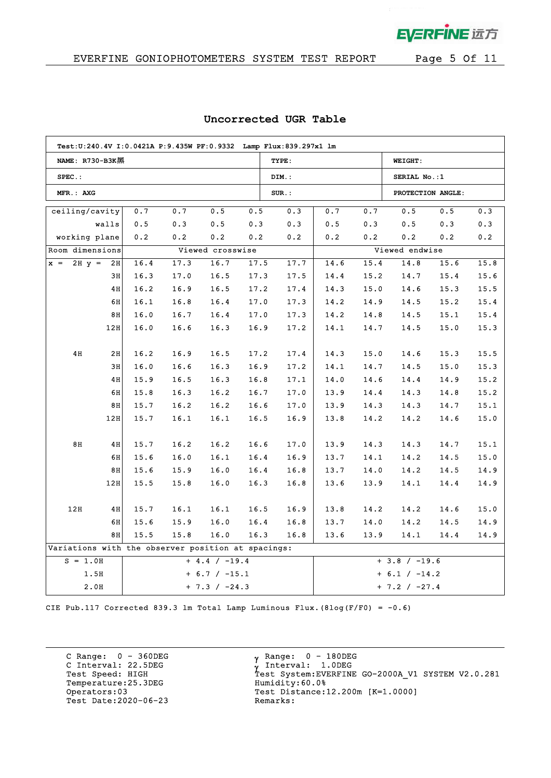EVERFINE 远方

 $\bar{z}$ 

## EVERFINE GONIOPHOTOMETERS SYSTEM TEST REPORT Page 5 Of 11

|                                                    | Test:U:240.4V I:0.0421A P:9.435W PF:0.9332 Lamp Flux:839.297x1 lm |      |      |                  |      |          |      |                 |                                                      |      |                                                                                                                                                                                                                                                        |  |  |  |  |
|----------------------------------------------------|-------------------------------------------------------------------|------|------|------------------|------|----------|------|-----------------|------------------------------------------------------|------|--------------------------------------------------------------------------------------------------------------------------------------------------------------------------------------------------------------------------------------------------------|--|--|--|--|
| NAME: R730-B3K黑                                    |                                                                   |      |      |                  |      | TYPE:    |      |                 | <b>WEIGHT:</b>                                       |      |                                                                                                                                                                                                                                                        |  |  |  |  |
| $SPEC.$ :                                          |                                                                   |      |      |                  |      | DIM.:    |      |                 |                                                      |      |                                                                                                                                                                                                                                                        |  |  |  |  |
| MFR.: AXG                                          |                                                                   |      |      |                  |      | $SUR.$ : |      |                 |                                                      |      | 0.5<br>0.3<br>0.3<br>0.3<br>0.2<br>0.2<br>15.6<br>15.8<br>15.4<br>15.6<br>15.3<br>15.5<br>15.2<br>15.4<br>15.1<br>15.4<br>15.0<br>15.3<br>15.3<br>15.5<br>15.0<br>15.3<br>14.9<br>15.2<br>15.2<br>14.8<br>15.1<br>14.7<br>14.6<br>15.0<br>14.7<br>15.1 |  |  |  |  |
| ceiling/cavity                                     |                                                                   | 0.7  | 0.7  | 0.5              | 0.5  | 0.3      | 0.7  | 0.7             | 0.5                                                  |      |                                                                                                                                                                                                                                                        |  |  |  |  |
|                                                    | walls                                                             | 0.5  | 0.3  | 0.5              | 0.3  | 0.3      | 0.5  | 0.3             | 0.5                                                  |      |                                                                                                                                                                                                                                                        |  |  |  |  |
| working plane                                      |                                                                   | 0.2  | 0.2  | 0.2              | 0.2  | 0.2      | 0.2  | 0.2             | 0.2                                                  |      |                                                                                                                                                                                                                                                        |  |  |  |  |
| Room dimensions                                    |                                                                   |      |      | Viewed crosswise |      |          |      |                 |                                                      |      |                                                                                                                                                                                                                                                        |  |  |  |  |
| $2H y =$<br>$x =$                                  | 2H                                                                | 16.4 | 17.3 | 16.7             | 17.5 | 17.7     | 14.6 | 15.4            | 14.8                                                 |      |                                                                                                                                                                                                                                                        |  |  |  |  |
|                                                    | 3H                                                                | 16.3 | 17.0 | 16.5             | 17.3 | 17.5     | 14.4 | 15.2            | 14.7                                                 |      |                                                                                                                                                                                                                                                        |  |  |  |  |
|                                                    | 4H                                                                | 16.2 | 16.9 | 16.5             | 17.2 | 17.4     | 14.3 | 15.0            | 14.6                                                 |      |                                                                                                                                                                                                                                                        |  |  |  |  |
|                                                    | 6H                                                                | 16.1 | 16.8 | 16.4             | 17.0 | 17.3     | 14.2 | 14.9            | 14.5                                                 |      |                                                                                                                                                                                                                                                        |  |  |  |  |
|                                                    | 8H                                                                | 16.0 | 16.7 | 16.4             | 17.0 | 17.3     | 14.2 | 14.8            | 14.5                                                 |      |                                                                                                                                                                                                                                                        |  |  |  |  |
|                                                    | 12H                                                               | 16.0 | 16.6 | 16.3             | 16.9 | 17.2     | 14.1 | 14.7            | 14.5                                                 |      |                                                                                                                                                                                                                                                        |  |  |  |  |
|                                                    |                                                                   |      |      |                  |      |          |      |                 |                                                      |      |                                                                                                                                                                                                                                                        |  |  |  |  |
| 4H                                                 | 2H                                                                | 16.2 | 16.9 | 16.5             | 17.2 | 17.4     | 14.3 | 15.0            | 14.6                                                 |      |                                                                                                                                                                                                                                                        |  |  |  |  |
|                                                    | 3H                                                                | 16.0 | 16.6 | 16.3             | 16.9 | 17.2     | 14.1 | 14.7            | 14.5                                                 |      |                                                                                                                                                                                                                                                        |  |  |  |  |
|                                                    | 4H                                                                | 15.9 | 16.5 | 16.3             | 16.8 | 17.1     | 14.0 | 14.6            | 14.4                                                 |      |                                                                                                                                                                                                                                                        |  |  |  |  |
|                                                    | 6H                                                                | 15.8 | 16.3 | 16.2             | 16.7 | 17.0     | 13.9 | 14.4            | 14.3                                                 |      |                                                                                                                                                                                                                                                        |  |  |  |  |
|                                                    | 8H                                                                | 15.7 | 16.2 | 16.2             | 16.6 | 17.0     | 13.9 | 14.3            | 14.3                                                 |      |                                                                                                                                                                                                                                                        |  |  |  |  |
|                                                    | 12H                                                               | 15.7 | 16.1 | 16.1             | 16.5 | 16.9     | 13.8 | 14.2            | 14.2                                                 |      |                                                                                                                                                                                                                                                        |  |  |  |  |
|                                                    |                                                                   |      |      |                  |      |          |      |                 |                                                      |      |                                                                                                                                                                                                                                                        |  |  |  |  |
| 8H                                                 | 4H                                                                | 15.7 | 16.2 | 16.2             | 16.6 | 17.0     | 13.9 | 14.3            | 14.3                                                 |      |                                                                                                                                                                                                                                                        |  |  |  |  |
|                                                    | 6H                                                                | 15.6 | 16.0 | 16.1             | 16.4 | 16.9     | 13.7 | 14.1            | 14.2                                                 | 14.5 | 15.0                                                                                                                                                                                                                                                   |  |  |  |  |
|                                                    | 8H                                                                | 15.6 | 15.9 | 16.0             | 16.4 | 16.8     | 13.7 | 14.0            | 14.2                                                 | 14.5 | 14.9                                                                                                                                                                                                                                                   |  |  |  |  |
|                                                    | 12H                                                               | 15.5 | 15.8 | 16.0             | 16.3 | 16.8     | 13.6 | 13.9            | 14.1                                                 | 14.4 | 14.9                                                                                                                                                                                                                                                   |  |  |  |  |
|                                                    |                                                                   |      |      |                  |      |          |      |                 |                                                      |      |                                                                                                                                                                                                                                                        |  |  |  |  |
| 12H                                                | 4H                                                                | 15.7 | 16.1 | 16.1             | 16.5 | 16.9     | 13.8 | 14.2            | 14.2                                                 | 14.6 | 15.0                                                                                                                                                                                                                                                   |  |  |  |  |
|                                                    | 6H                                                                | 15.6 | 15.9 | 16.0             | 16.4 | 16.8     | 13.7 | 14.0            | 14.2                                                 | 14.5 | 14.9                                                                                                                                                                                                                                                   |  |  |  |  |
|                                                    | 8H                                                                | 15.5 | 15.8 | 16.0             | 16.3 | 16.8     | 13.6 | 13.9            | 14.1                                                 | 14.4 | 14.9                                                                                                                                                                                                                                                   |  |  |  |  |
| Variations with the observer position at spacings: |                                                                   |      |      |                  |      |          |      |                 |                                                      |      |                                                                                                                                                                                                                                                        |  |  |  |  |
| $S = 1.0H$<br>$+ 4.4 / -19.4$                      |                                                                   |      |      |                  |      |          |      | $+ 3.8 / -19.6$ |                                                      |      |                                                                                                                                                                                                                                                        |  |  |  |  |
| 1.5H<br>$+ 6.7 / -15.1$                            |                                                                   |      |      |                  |      |          |      | $+ 6.1 / -14.2$ | SERIAL No.: 1<br>PROTECTION ANGLE:<br>Viewed endwise |      |                                                                                                                                                                                                                                                        |  |  |  |  |
| 2.0H<br>$+ 7.3 / -24.3$                            |                                                                   |      |      |                  |      |          |      | $+ 7.2 / -27.4$ |                                                      |      |                                                                                                                                                                                                                                                        |  |  |  |  |

#### **Uncorrected UGR Table**

CIE Pub.117 Corrected 839.3 lm Total Lamp Luminous Flux. (8log(F/F0) =  $-0.6$ )

C Range: 0 - 360DEG C Interval: 22.5DEG<br>Test Speed: HIGH Temperature:25.3DEG Humidity:60.0%<br>Operators:03 Test Distance: Test Date: 2020-06-23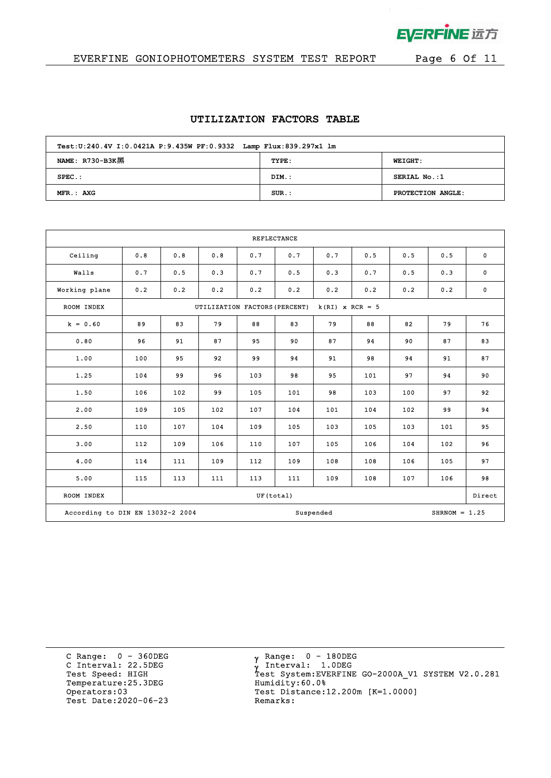

 $\mathcal{L}$ 

# EVERFINE GONIOPHOTOMETERS SYSTEM TEST REPORT Page 6 Of 11

#### **UTILIZATION FACTORS TABLE**

| Test: U:240.4V I: 0.0421A P: 9.435W PF: 0.9332 Lamp Flux: 839.297x1 lm |          |                   |  |  |  |  |  |  |
|------------------------------------------------------------------------|----------|-------------------|--|--|--|--|--|--|
| NAME: $R730-B3K$ <sup>3</sup>                                          | TYPE:    | <b>WEIGHT:</b>    |  |  |  |  |  |  |
| $SPEC.$ :                                                              | DIM.:    | SERIAL No.:1      |  |  |  |  |  |  |
| MFR.: AXG                                                              | $SUR$ .: | PROTECTION ANGLE: |  |  |  |  |  |  |

| <b>REFLECTANCE</b>               |     |     |                               |           |     |                   |     |     |                 |             |
|----------------------------------|-----|-----|-------------------------------|-----------|-----|-------------------|-----|-----|-----------------|-------------|
| Ceiling                          | 0.8 | 0.8 | 0.8                           | 0.7       | 0.7 | 0.7               | 0.5 | 0.5 | 0.5             | $\mathbf 0$ |
| Walls                            | 0.7 | 0.5 | 0.3                           | 0.7       | 0.5 | 0.3               | 0.7 | 0.5 | 0.3             | $\mathbf 0$ |
| Working plane                    | 0.2 | 0.2 | 0.2                           | 0.2       | 0.2 | 0.2               | 0.2 | 0.2 | 0.2             | $\mathbf 0$ |
| ROOM INDEX                       |     |     | UTILIZATION FACTORS (PERCENT) |           |     | $k(RI)$ x RCR = 5 |     |     |                 |             |
| $k = 0.60$                       | 89  | 83  | 79                            | 88        | 83  | 79                | 88  | 82  | 79              | 76          |
| 0.80                             | 96  | 91  | 87                            | 95        | 90  | 87                | 94  | 90  | 87              | 83          |
| 1.00                             | 100 | 95  | 92                            | 99        | 94  | 91                | 98  | 94  | 91              | 87          |
| 1.25                             | 104 | 99  | 96                            | 103       | 98  | 95                | 101 | 97  | 94              | 90          |
| 1.50                             | 106 | 102 | 99                            | 105       | 101 | 98                | 103 | 100 | 97              | 92          |
| 2.00                             | 109 | 105 | 102                           | 107       | 104 | 101               | 104 | 102 | 99              | 94          |
| 2.50                             | 110 | 107 | 104                           | 109       | 105 | 103               | 105 | 103 | 101             | 95          |
| 3.00                             | 112 | 109 | 106                           | 110       | 107 | 105               | 106 | 104 | 102             | 96          |
| 4.00                             | 114 | 111 | 109                           | 112       | 109 | 108               | 108 | 106 | 105             | 97          |
| 5.00                             | 115 | 113 | 111                           | 113       | 111 | 109               | 108 | 107 | 106             | 98          |
| ROOM INDEX                       |     |     |                               | UF(total) |     |                   |     |     |                 | Direct      |
| According to DIN EN 13032-2 2004 |     |     |                               |           |     | Suspended         |     |     | $SHRNOM = 1.25$ |             |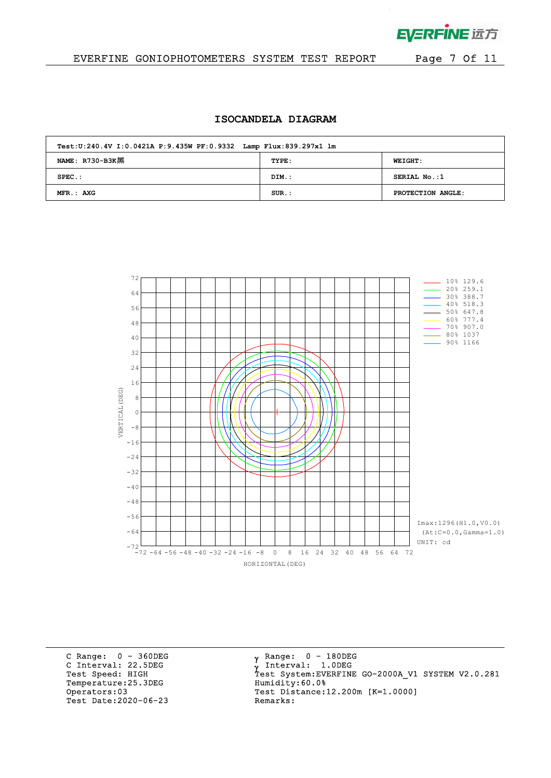

 $\mathbf{p}^{\mathrm{max}}$  and  $\mathbf{p}^{\mathrm{max}}$ 

## EVERFINE GONIOPHOTOMETERS SYSTEM TEST REPORT Page 7 Of 11

#### **ISOCANDELA DIAGRAM**

| Test: U:240.4V I: 0.0421A P: 9.435W PF: 0.9332 Lamp Flux: 839.297x1 lm |          |                   |  |  |  |  |  |  |
|------------------------------------------------------------------------|----------|-------------------|--|--|--|--|--|--|
| NAME: $R730-B3K$                                                       | TYPE:    | <b>WEIGHT:</b>    |  |  |  |  |  |  |
| $SPEC.$ :                                                              | DIM.:    | SERIAL No.:1      |  |  |  |  |  |  |
| $MFR.:$ AXG                                                            | $SUR$ .: | PROTECTION ANGLE: |  |  |  |  |  |  |



C Range: 0 - 360DEG C Interval: 22.5DEG<br>Test Speed: HIGH Temperature:25.3DEG Humidity:60.0%<br>Operators:03 Test Distance: Test Date: 2020-06-23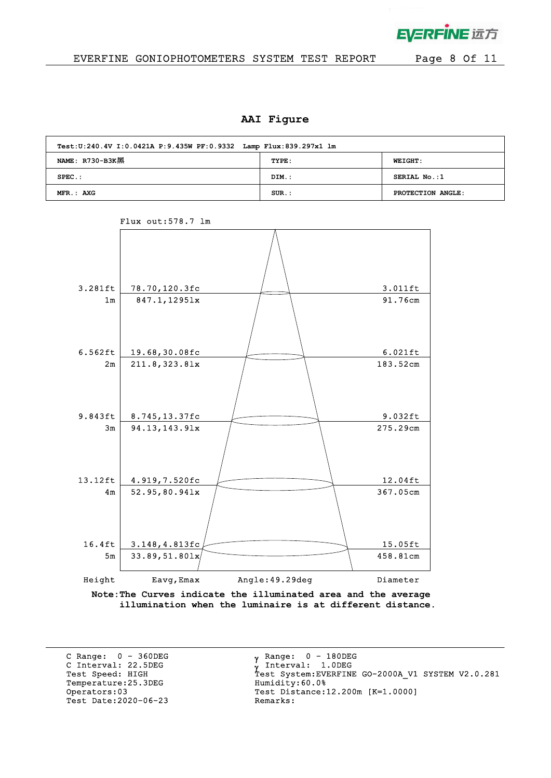

### EVERFINE GONIOPHOTOMETERS SYSTEM TEST REPORT Page 8 Of 11

#### **AAI Figure**

| Test: U:240.4V I: 0.0421A P: 9.435W PF: 0.9332 Lamp Flux: 839.297x1 lm |          |                   |  |  |  |  |  |  |
|------------------------------------------------------------------------|----------|-------------------|--|--|--|--|--|--|
| NAME: $R730-B3K$                                                       | TYPE:    | <b>WEIGHT:</b>    |  |  |  |  |  |  |
| $SPEC.$ :                                                              | DIM.:    | SERIAL No.:1      |  |  |  |  |  |  |
| MFR.: AXG                                                              | $SUR$ .: | PROTECTION ANGLE: |  |  |  |  |  |  |



Flux out:578.7 lm

**Note:The Curves indicate the illuminated area and the average illumination when the luminaire is at different distance.**

C Range: 0 - 360DEG C Interval: 22.5DEG<br>Test Speed: HIGH Temperature: 25.3DEG Test Date: 2020-06-23

 $\gamma$  Range:  $0 - 180$ DEG Interval: 1.0DEG Y INCEIVAL: 1.0DEG<br>Test System:EVERFINE GO-2000A\_V1 SYSTEM V2.0.281<br>Humidity:60.0% Operators:03 <br>
Test Date:2020-06-23 <br>
Remarks:<br>
Remarks: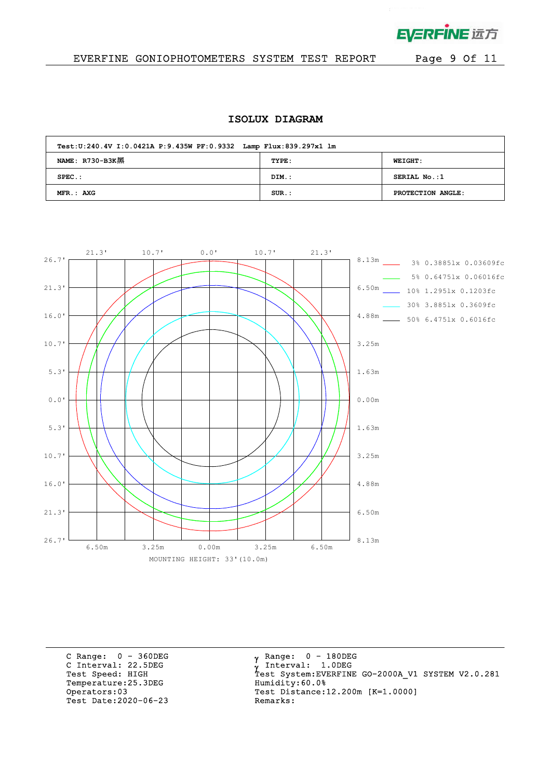

 $\mathcal{L}^{\text{max}}$ 

## EVERFINE GONIOPHOTOMETERS SYSTEM TEST REPORT Page 9 Of 11

## **ISOLUX DIAGRAM**

| Test: U:240.4V I: 0.0421A P: 9.435W PF: 0.9332 Lamp Flux: 839.297x1 lm |          |                   |  |  |  |  |  |  |  |
|------------------------------------------------------------------------|----------|-------------------|--|--|--|--|--|--|--|
| NAME: $R730-B3K$                                                       | TYPE:    | <b>WEIGHT:</b>    |  |  |  |  |  |  |  |
| $SPEC.$ :                                                              | DIM.:    | SERIAL No.:1      |  |  |  |  |  |  |  |
| MFR.: AXG                                                              | $SUR.$ : | PROTECTION ANGLE: |  |  |  |  |  |  |  |



C Range: 0 - 360DEG C Interval: 22.5DEG<br>Test Speed: HIGH Temperature:25.3DEG Humidity:60.0%<br>Operators:03 Test Distance:1 Test Date: 2020-06-23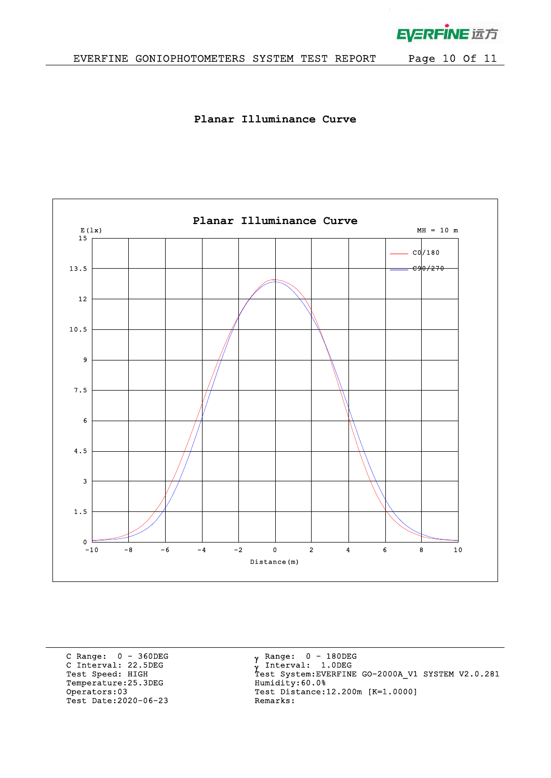

 $\mathbf{r}$ 

**Planar Illuminance Curve**



C Range: 0 - 360DEG C Interval: 22.5DEG<br>Test Speed: HIGH Temperature:25.3DEG Humidity:60.0%<br>Operators:03 Test Distance:1 Test Date: 2020-06-23